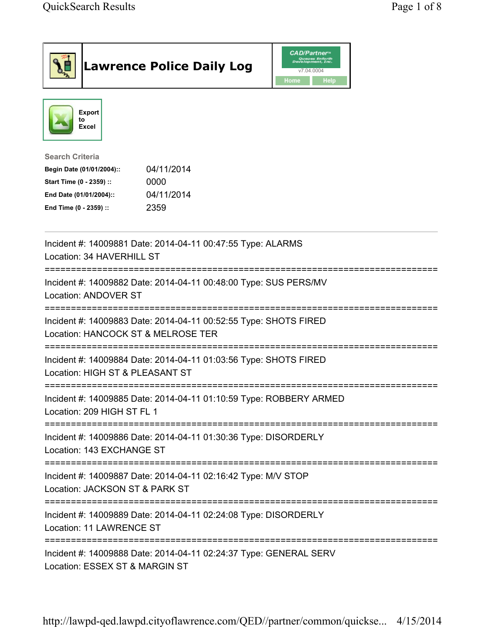| <b>Lawrence Police Daily Log</b>                                                                                                                                                 | <b>CAD/Partner</b> "<br>Queues Enforth<br>Development, Inc.<br>v7.04.0004<br>Home<br>Help |
|----------------------------------------------------------------------------------------------------------------------------------------------------------------------------------|-------------------------------------------------------------------------------------------|
| <b>Export</b><br>to<br>Excel                                                                                                                                                     |                                                                                           |
| <b>Search Criteria</b><br>04/11/2014<br>Begin Date (01/01/2004)::<br>0000<br>Start Time (0 - 2359) ::<br>04/11/2014<br>End Date (01/01/2004)::<br>2359<br>End Time (0 - 2359) :: |                                                                                           |
| Incident #: 14009881 Date: 2014-04-11 00:47:55 Type: ALARMS<br>Location: 34 HAVERHILL ST                                                                                         |                                                                                           |
| Incident #: 14009882 Date: 2014-04-11 00:48:00 Type: SUS PERS/MV<br>Location: ANDOVER ST                                                                                         |                                                                                           |
| Incident #: 14009883 Date: 2014-04-11 00:52:55 Type: SHOTS FIRED<br>Location: HANCOCK ST & MELROSE TER                                                                           |                                                                                           |
| Incident #: 14009884 Date: 2014-04-11 01:03:56 Type: SHOTS FIRED<br>Location: HIGH ST & PLEASANT ST                                                                              |                                                                                           |
| Incident #: 14009885 Date: 2014-04-11 01:10:59 Type: ROBBERY ARMED<br>Location: 209 HIGH ST FL 1                                                                                 |                                                                                           |
| Incident #: 14009886 Date: 2014-04-11 01:30:36 Type: DISORDERLY<br>Location: 143 EXCHANGE ST                                                                                     |                                                                                           |
| Incident #: 14009887 Date: 2014-04-11 02:16:42 Type: M/V STOP<br>Location: JACKSON ST & PARK ST                                                                                  |                                                                                           |
| Incident #: 14009889 Date: 2014-04-11 02:24:08 Type: DISORDERLY<br>Location: 11 LAWRENCE ST                                                                                      |                                                                                           |
| Incident #: 14009888 Date: 2014-04-11 02:24:37 Type: GENERAL SERV<br>Location: ESSEX ST & MARGIN ST                                                                              |                                                                                           |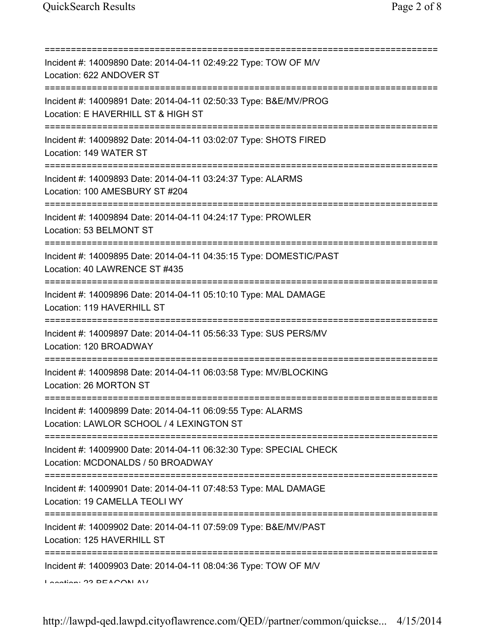| Incident #: 14009890 Date: 2014-04-11 02:49:22 Type: TOW OF M/V<br>Location: 622 ANDOVER ST             |
|---------------------------------------------------------------------------------------------------------|
| Incident #: 14009891 Date: 2014-04-11 02:50:33 Type: B&E/MV/PROG<br>Location: E HAVERHILL ST & HIGH ST  |
| Incident #: 14009892 Date: 2014-04-11 03:02:07 Type: SHOTS FIRED<br>Location: 149 WATER ST              |
| Incident #: 14009893 Date: 2014-04-11 03:24:37 Type: ALARMS<br>Location: 100 AMESBURY ST #204           |
| Incident #: 14009894 Date: 2014-04-11 04:24:17 Type: PROWLER<br>Location: 53 BELMONT ST                 |
| Incident #: 14009895 Date: 2014-04-11 04:35:15 Type: DOMESTIC/PAST<br>Location: 40 LAWRENCE ST #435     |
| Incident #: 14009896 Date: 2014-04-11 05:10:10 Type: MAL DAMAGE<br>Location: 119 HAVERHILL ST           |
| Incident #: 14009897 Date: 2014-04-11 05:56:33 Type: SUS PERS/MV<br>Location: 120 BROADWAY              |
| Incident #: 14009898 Date: 2014-04-11 06:03:58 Type: MV/BLOCKING<br>Location: 26 MORTON ST              |
| Incident #: 14009899 Date: 2014-04-11 06:09:55 Type: ALARMS<br>Location: LAWLOR SCHOOL / 4 LEXINGTON ST |
| Incident #: 14009900 Date: 2014-04-11 06:32:30 Type: SPECIAL CHECK<br>Location: MCDONALDS / 50 BROADWAY |
| Incident #: 14009901 Date: 2014-04-11 07:48:53 Type: MAL DAMAGE<br>Location: 19 CAMELLA TEOLI WY        |
| Incident #: 14009902 Date: 2014-04-11 07:59:09 Type: B&E/MV/PAST<br>Location: 125 HAVERHILL ST          |
| Incident #: 14009903 Date: 2014-04-11 08:04:36 Type: TOW OF M/V                                         |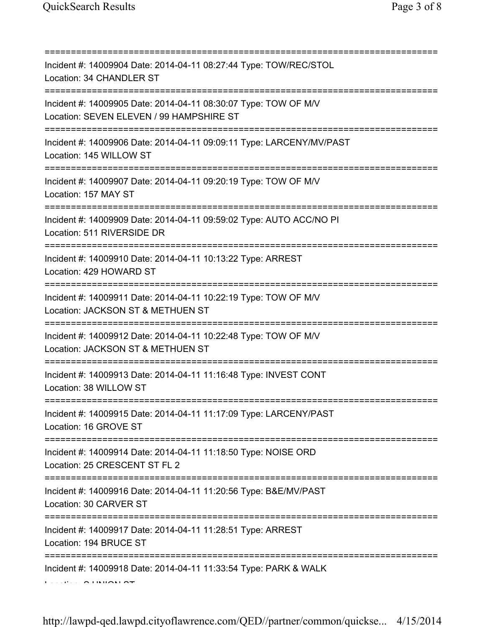| Incident #: 14009904 Date: 2014-04-11 08:27:44 Type: TOW/REC/STOL<br>Location: 34 CHANDLER ST                                                 |
|-----------------------------------------------------------------------------------------------------------------------------------------------|
| Incident #: 14009905 Date: 2014-04-11 08:30:07 Type: TOW OF M/V<br>Location: SEVEN ELEVEN / 99 HAMPSHIRE ST<br>============================== |
| Incident #: 14009906 Date: 2014-04-11 09:09:11 Type: LARCENY/MV/PAST<br>Location: 145 WILLOW ST                                               |
| Incident #: 14009907 Date: 2014-04-11 09:20:19 Type: TOW OF M/V<br>Location: 157 MAY ST<br>----------------------------                       |
| Incident #: 14009909 Date: 2014-04-11 09:59:02 Type: AUTO ACC/NO PI<br>Location: 511 RIVERSIDE DR                                             |
| Incident #: 14009910 Date: 2014-04-11 10:13:22 Type: ARREST<br>Location: 429 HOWARD ST<br>=================================                   |
| Incident #: 14009911 Date: 2014-04-11 10:22:19 Type: TOW OF M/V<br>Location: JACKSON ST & METHUEN ST                                          |
| Incident #: 14009912 Date: 2014-04-11 10:22:48 Type: TOW OF M/V<br>Location: JACKSON ST & METHUEN ST                                          |
| Incident #: 14009913 Date: 2014-04-11 11:16:48 Type: INVEST CONT<br>Location: 38 WILLOW ST                                                    |
| Incident #: 14009915 Date: 2014-04-11 11:17:09 Type: LARCENY/PAST<br>Location: 16 GROVE ST                                                    |
| ====================================<br>Incident #: 14009914 Date: 2014-04-11 11:18:50 Type: NOISE ORD<br>Location: 25 CRESCENT ST FL 2       |
| Incident #: 14009916 Date: 2014-04-11 11:20:56 Type: B&E/MV/PAST<br>Location: 30 CARVER ST                                                    |
| Incident #: 14009917 Date: 2014-04-11 11:28:51 Type: ARREST<br>Location: 194 BRUCE ST                                                         |
| Incident #: 14009918 Date: 2014-04-11 11:33:54 Type: PARK & WALK                                                                              |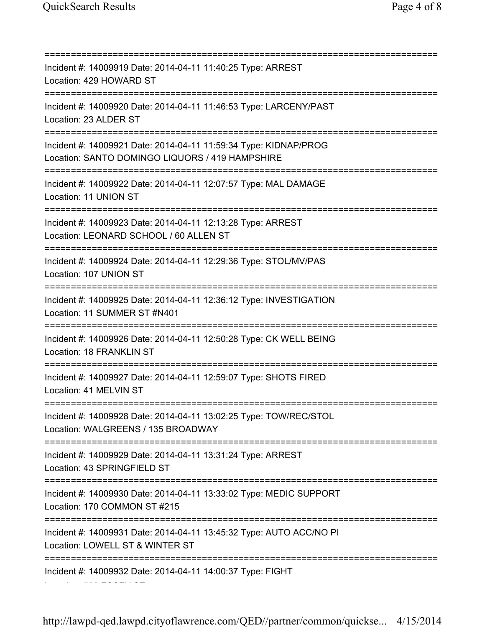Location: 700 ESSEX ST

=========================================================================== Incident #: 14009919 Date: 2014-04-11 11:40:25 Type: ARREST Location: 429 HOWARD ST =========================================================================== Incident #: 14009920 Date: 2014-04-11 11:46:53 Type: LARCENY/PAST Location: 23 ALDER ST =========================================================================== Incident #: 14009921 Date: 2014-04-11 11:59:34 Type: KIDNAP/PROG Location: SANTO DOMINGO LIQUORS / 419 HAMPSHIRE =========================================================================== Incident #: 14009922 Date: 2014-04-11 12:07:57 Type: MAL DAMAGE Location: 11 UNION ST =========================================================================== Incident #: 14009923 Date: 2014-04-11 12:13:28 Type: ARREST Location: LEONARD SCHOOL / 60 ALLEN ST =========================================================================== Incident #: 14009924 Date: 2014-04-11 12:29:36 Type: STOL/MV/PAS Location: 107 UNION ST =========================================================================== Incident #: 14009925 Date: 2014-04-11 12:36:12 Type: INVESTIGATION Location: 11 SUMMER ST #N401 =========================================================================== Incident #: 14009926 Date: 2014-04-11 12:50:28 Type: CK WELL BEING Location: 18 FRANKLIN ST =========================================================================== Incident #: 14009927 Date: 2014-04-11 12:59:07 Type: SHOTS FIRED Location: 41 MELVIN ST =========================================================================== Incident #: 14009928 Date: 2014-04-11 13:02:25 Type: TOW/REC/STOL Location: WALGREENS / 135 BROADWAY =========================================================================== Incident #: 14009929 Date: 2014-04-11 13:31:24 Type: ARREST Location: 43 SPRINGFIELD ST =========================================================================== Incident #: 14009930 Date: 2014-04-11 13:33:02 Type: MEDIC SUPPORT Location: 170 COMMON ST #215 =========================================================================== Incident #: 14009931 Date: 2014-04-11 13:45:32 Type: AUTO ACC/NO PI Location: LOWELL ST & WINTER ST =========================================================================== Incident #: 14009932 Date: 2014-04-11 14:00:37 Type: FIGHT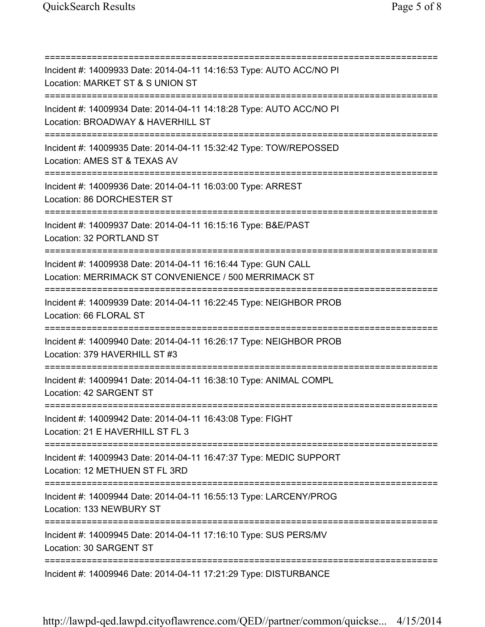=========================================================================== Incident #: 14009933 Date: 2014-04-11 14:16:53 Type: AUTO ACC/NO PI Location: MARKET ST & S UNION ST =========================================================================== Incident #: 14009934 Date: 2014-04-11 14:18:28 Type: AUTO ACC/NO PI Location: BROADWAY & HAVERHILL ST =========================================================================== Incident #: 14009935 Date: 2014-04-11 15:32:42 Type: TOW/REPOSSED Location: AMES ST & TEXAS AV =========================================================================== Incident #: 14009936 Date: 2014-04-11 16:03:00 Type: ARREST Location: 86 DORCHESTER ST =========================================================================== Incident #: 14009937 Date: 2014-04-11 16:15:16 Type: B&E/PAST Location: 32 PORTLAND ST =========================================================================== Incident #: 14009938 Date: 2014-04-11 16:16:44 Type: GUN CALL Location: MERRIMACK ST CONVENIENCE / 500 MERRIMACK ST =========================================================================== Incident #: 14009939 Date: 2014-04-11 16:22:45 Type: NEIGHBOR PROB Location: 66 FLORAL ST =========================================================================== Incident #: 14009940 Date: 2014-04-11 16:26:17 Type: NEIGHBOR PROB Location: 379 HAVERHILL ST #3 =========================================================================== Incident #: 14009941 Date: 2014-04-11 16:38:10 Type: ANIMAL COMPL Location: 42 SARGENT ST =========================================================================== Incident #: 14009942 Date: 2014-04-11 16:43:08 Type: FIGHT Location: 21 E HAVERHILL ST FL 3 =========================================================================== Incident #: 14009943 Date: 2014-04-11 16:47:37 Type: MEDIC SUPPORT Location: 12 METHUEN ST FL 3RD =========================================================================== Incident #: 14009944 Date: 2014-04-11 16:55:13 Type: LARCENY/PROG Location: 133 NEWBURY ST =========================================================================== Incident #: 14009945 Date: 2014-04-11 17:16:10 Type: SUS PERS/MV Location: 30 SARGENT ST =========================================================================== Incident #: 14009946 Date: 2014-04-11 17:21:29 Type: DISTURBANCE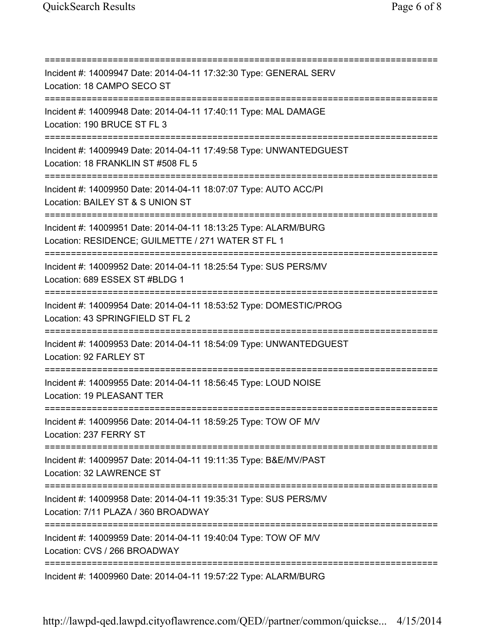=========================================================================== Incident #: 14009947 Date: 2014-04-11 17:32:30 Type: GENERAL SERV Location: 18 CAMPO SECO ST =========================================================================== Incident #: 14009948 Date: 2014-04-11 17:40:11 Type: MAL DAMAGE Location: 190 BRUCE ST FL 3 =========================================================================== Incident #: 14009949 Date: 2014-04-11 17:49:58 Type: UNWANTEDGUEST Location: 18 FRANKLIN ST #508 FL 5 =========================================================================== Incident #: 14009950 Date: 2014-04-11 18:07:07 Type: AUTO ACC/PI Location: BAILEY ST & S UNION ST =========================================================================== Incident #: 14009951 Date: 2014-04-11 18:13:25 Type: ALARM/BURG Location: RESIDENCE; GUILMETTE / 271 WATER ST FL 1 =========================================================================== Incident #: 14009952 Date: 2014-04-11 18:25:54 Type: SUS PERS/MV Location: 689 ESSEX ST #BLDG 1 =========================================================================== Incident #: 14009954 Date: 2014-04-11 18:53:52 Type: DOMESTIC/PROG Location: 43 SPRINGFIELD ST FL 2 =========================================================================== Incident #: 14009953 Date: 2014-04-11 18:54:09 Type: UNWANTEDGUEST Location: 92 FARLEY ST =========================================================================== Incident #: 14009955 Date: 2014-04-11 18:56:45 Type: LOUD NOISE Location: 19 PLEASANT TER =========================================================================== Incident #: 14009956 Date: 2014-04-11 18:59:25 Type: TOW OF M/V Location: 237 FERRY ST =========================================================================== Incident #: 14009957 Date: 2014-04-11 19:11:35 Type: B&E/MV/PAST Location: 32 LAWRENCE ST =========================================================================== Incident #: 14009958 Date: 2014-04-11 19:35:31 Type: SUS PERS/MV Location: 7/11 PLAZA / 360 BROADWAY =========================================================================== Incident #: 14009959 Date: 2014-04-11 19:40:04 Type: TOW OF M/V Location: CVS / 266 BROADWAY =========================================================================== Incident #: 14009960 Date: 2014-04-11 19:57:22 Type: ALARM/BURG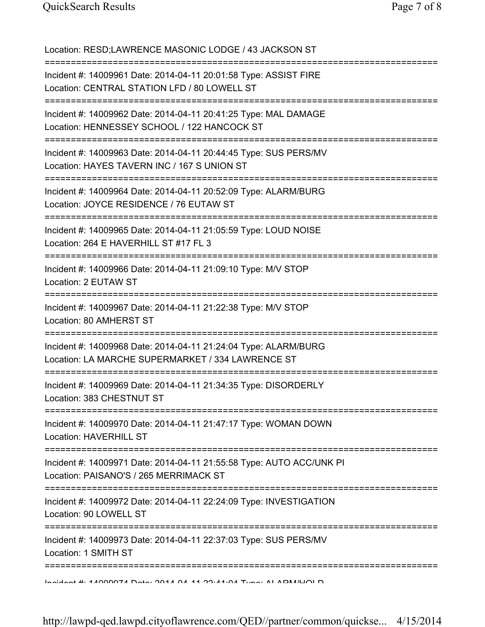Location: RESD;LAWRENCE MASONIC LODGE / 43 JACKSON ST =========================================================================== Incident #: 14009961 Date: 2014-04-11 20:01:58 Type: ASSIST FIRE Location: CENTRAL STATION LFD / 80 LOWELL ST =========================================================================== Incident #: 14009962 Date: 2014-04-11 20:41:25 Type: MAL DAMAGE Location: HENNESSEY SCHOOL / 122 HANCOCK ST =========================================================================== Incident #: 14009963 Date: 2014-04-11 20:44:45 Type: SUS PERS/MV Location: HAYES TAVERN INC / 167 S UNION ST =========================================================================== Incident #: 14009964 Date: 2014-04-11 20:52:09 Type: ALARM/BURG Location: JOYCE RESIDENCE / 76 EUTAW ST =========================================================================== Incident #: 14009965 Date: 2014-04-11 21:05:59 Type: LOUD NOISE Location: 264 E HAVERHILL ST #17 FL 3 =========================================================================== Incident #: 14009966 Date: 2014-04-11 21:09:10 Type: M/V STOP Location: 2 EUTAW ST =========================================================================== Incident #: 14009967 Date: 2014-04-11 21:22:38 Type: M/V STOP Location: 80 AMHERST ST =========================================================================== Incident #: 14009968 Date: 2014-04-11 21:24:04 Type: ALARM/BURG Location: LA MARCHE SUPERMARKET / 334 LAWRENCE ST =========================================================================== Incident #: 14009969 Date: 2014-04-11 21:34:35 Type: DISORDERLY Location: 383 CHESTNUT ST =========================================================================== Incident #: 14009970 Date: 2014-04-11 21:47:17 Type: WOMAN DOWN Location: HAVERHILL ST =========================================================================== Incident #: 14009971 Date: 2014-04-11 21:55:58 Type: AUTO ACC/UNK PI Location: PAISANO'S / 265 MERRIMACK ST =========================================================================== Incident #: 14009972 Date: 2014-04-11 22:24:09 Type: INVESTIGATION Location: 90 LOWELL ST =========================================================================== Incident #: 14009973 Date: 2014-04-11 22:37:03 Type: SUS PERS/MV Location: 1 SMITH ST =========================================================================== Incident #: 14009974 Date: 2014 04 11 22:41:04 Type: ALARM/HOLD